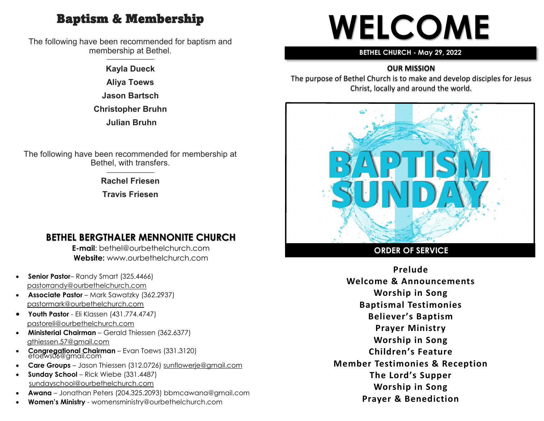## Baptism & Membership

The following have been recommended for baptism and membership at Bethel.

> **Kayla Dueck Aliya Toews Jason Bartsch Christopher Bruhn Julian Bruhn**

The following have been recommended for membership at Bethel, with transfers.

> **Rachel Friesen Travis Friesen**

### **BETHEL BERGTHALER MENNONITE CHURCH**

**E-mail**: bethel@ourbethelchurch.com **Website:** www.ourbethelchurch.com

- **Senior Pastor** Randy Smart (325.4466) pastorrandy@ourbethelchurch.com
- **Associate Pastor** Mark Sawatzky (362.2937) [pastormark@ourbethelchurch.com](mailto:pastormark@ourbethelchurch.com)
- **Youth Pastor**  Eli Klassen (431.774.4747) pastoreli@ourbethelchurch.com
- **Ministerial Chairman** Gerald Thiessen (362.6377) gthiessen.57@gmail.com
- **Congregational Chairman** Evan Toews (331.3120) etoews06@gmail.com
- **Care Groups** Jason Thiessen (312.0726) [sunflowerje@gmail.com](mailto:sunflowerje@gmail.com)
- **Sunday School** Rick Wiebe (331.4487) sundayschool@ourbethelchurch.com
- **Awana** Jonathan Peters (204.325.2093) bbmcawana@gmail.com
- **Women's Ministry**  womensministry@ourbethelchurch.com

# **WELCOME**

#### **BETHEL CHURCH - May 29, 2022**

#### **OUR MISSION**

The purpose of Bethel Church is to make and develop disciples for Jesus Christ, locally and around the world.



#### **ORDER OF SERVICE**

**Prelude Welcome & Announcements Worship in Song Baptismal Testimonies Believer's Baptism Prayer Ministry Worship in Song Children's Feature Member Testimonies & Reception The Lord's Supper Worship in Song Prayer & Benediction**